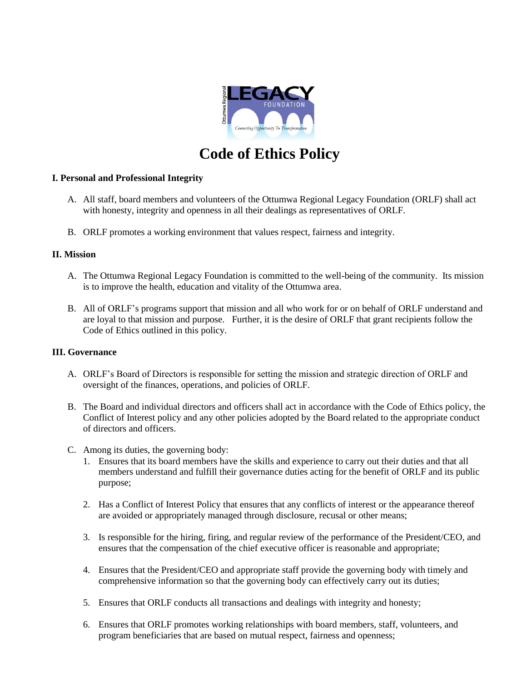

# **Code of Ethics Policy**

## **I. Personal and Professional Integrity**

- A. All staff, board members and volunteers of the Ottumwa Regional Legacy Foundation (ORLF) shall act with honesty, integrity and openness in all their dealings as representatives of ORLF.
- B. ORLF promotes a working environment that values respect, fairness and integrity.

### **II. Mission**

- A. The Ottumwa Regional Legacy Foundation is committed to the well-being of the community. Its mission is to improve the health, education and vitality of the Ottumwa area.
- B. All of ORLF's programs support that mission and all who work for or on behalf of ORLF understand and are loyal to that mission and purpose. Further, it is the desire of ORLF that grant recipients follow the Code of Ethics outlined in this policy.

### **III. Governance**

- A. ORLF's Board of Directors is responsible for setting the mission and strategic direction of ORLF and oversight of the finances, operations, and policies of ORLF.
- B. The Board and individual directors and officers shall act in accordance with the Code of Ethics policy, the Conflict of Interest policy and any other policies adopted by the Board related to the appropriate conduct of directors and officers.
- C. Among its duties, the governing body:
	- 1. Ensures that its board members have the skills and experience to carry out their duties and that all members understand and fulfill their governance duties acting for the benefit of ORLF and its public purpose;
	- 2. Has a Conflict of Interest Policy that ensures that any conflicts of interest or the appearance thereof are avoided or appropriately managed through disclosure, recusal or other means;
	- 3. Is responsible for the hiring, firing, and regular review of the performance of the President/CEO, and ensures that the compensation of the chief executive officer is reasonable and appropriate;
	- 4. Ensures that the President/CEO and appropriate staff provide the governing body with timely and comprehensive information so that the governing body can effectively carry out its duties;
	- 5. Ensures that ORLF conducts all transactions and dealings with integrity and honesty;
	- 6. Ensures that ORLF promotes working relationships with board members, staff, volunteers, and program beneficiaries that are based on mutual respect, fairness and openness;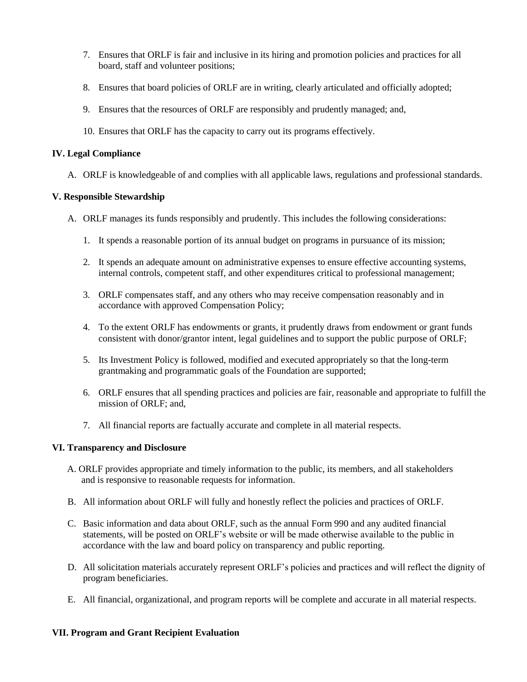- 7. Ensures that ORLF is fair and inclusive in its hiring and promotion policies and practices for all board, staff and volunteer positions;
- 8. Ensures that board policies of ORLF are in writing, clearly articulated and officially adopted;
- 9. Ensures that the resources of ORLF are responsibly and prudently managed; and,
- 10. Ensures that ORLF has the capacity to carry out its programs effectively.

## **IV. Legal Compliance**

A. ORLF is knowledgeable of and complies with all applicable laws, regulations and professional standards.

## **V. Responsible Stewardship**

- A. ORLF manages its funds responsibly and prudently. This includes the following considerations:
	- 1. It spends a reasonable portion of its annual budget on programs in pursuance of its mission;
	- 2. It spends an adequate amount on administrative expenses to ensure effective accounting systems, internal controls, competent staff, and other expenditures critical to professional management;
	- 3. ORLF compensates staff, and any others who may receive compensation reasonably and in accordance with approved Compensation Policy;
	- 4. To the extent ORLF has endowments or grants, it prudently draws from endowment or grant funds consistent with donor/grantor intent, legal guidelines and to support the public purpose of ORLF;
	- 5. Its Investment Policy is followed, modified and executed appropriately so that the long-term grantmaking and programmatic goals of the Foundation are supported;
	- 6. ORLF ensures that all spending practices and policies are fair, reasonable and appropriate to fulfill the mission of ORLF; and,
	- 7. All financial reports are factually accurate and complete in all material respects.

# **VI. Transparency and Disclosure**

- A. ORLF provides appropriate and timely information to the public, its members, and all stakeholders and is responsive to reasonable requests for information.
- B. All information about ORLF will fully and honestly reflect the policies and practices of ORLF.
- C. Basic information and data about ORLF, such as the annual Form 990 and any audited financial statements, will be posted on ORLF's website or will be made otherwise available to the public in accordance with the law and board policy on transparency and public reporting.
- D. All solicitation materials accurately represent ORLF's policies and practices and will reflect the dignity of program beneficiaries.
- E. All financial, organizational, and program reports will be complete and accurate in all material respects.

# **VII. Program and Grant Recipient Evaluation**